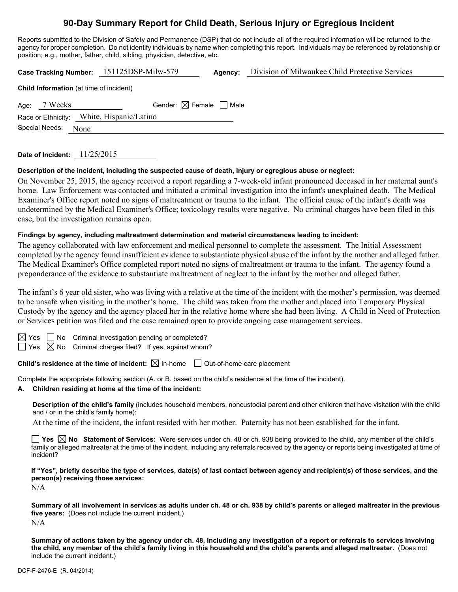# **90-Day Summary Report for Child Death, Serious Injury or Egregious Incident**

Reports submitted to the Division of Safety and Permanence (DSP) that do not include all of the required information will be returned to the agency for proper completion. Do not identify individuals by name when completing this report. Individuals may be referenced by relationship or position; e.g., mother, father, child, sibling, physician, detective, etc.

|                                           |                                                | Case Tracking Number: 151125DSP-Milw-579 | Agency: | Division of Milwaukee Child Protective Services |  |  |  |
|-------------------------------------------|------------------------------------------------|------------------------------------------|---------|-------------------------------------------------|--|--|--|
|                                           | <b>Child Information</b> (at time of incident) |                                          |         |                                                 |  |  |  |
|                                           | Age: 7 Weeks                                   | Gender: $\boxtimes$ Female $\Box$ Male   |         |                                                 |  |  |  |
| Race or Ethnicity: White, Hispanic/Latino |                                                |                                          |         |                                                 |  |  |  |
| Special Needs:<br>None                    |                                                |                                          |         |                                                 |  |  |  |

**Date of Incident:** 11/25/2015

## **Description of the incident, including the suspected cause of death, injury or egregious abuse or neglect:**

On November 25, 2015, the agency received a report regarding a 7-week-old infant pronounced deceased in her maternal aunt's home. Law Enforcement was contacted and initiated a criminal investigation into the infant's unexplained death. The Medical Examiner's Office report noted no signs of maltreatment or trauma to the infant. The official cause of the infant's death was undetermined by the Medical Examiner's Office; toxicology results were negative. No criminal charges have been filed in this case, but the investigation remains open.

#### **Findings by agency, including maltreatment determination and material circumstances leading to incident:**

The agency collaborated with law enforcement and medical personnel to complete the assessment. The Initial Assessment completed by the agency found insufficient evidence to substantiate physical abuse of the infant by the mother and alleged father. The Medical Examiner's Office completed report noted no signs of maltreatment or trauma to the infant. The agency found a preponderance of the evidence to substantiate maltreatment of neglect to the infant by the mother and alleged father.

The infant's 6 year old sister, who was living with a relative at the time of the incident with the mother's permission, was deemed to be unsafe when visiting in the mother's home. The child was taken from the mother and placed into Temporary Physical Custody by the agency and the agency placed her in the relative home where she had been living. A Child in Need of Protection or Services petition was filed and the case remained open to provide ongoing case management services.

 $\Box$  No Criminal investigation pending or completed?

 $\Box$  Yes  $\boxtimes$  No Criminal charges filed? If yes, against whom?

**Child's residence at the time of incident:**  $\boxtimes$  In-home  $\Box$  Out-of-home care placement

Complete the appropriate following section (A. or B. based on the child's residence at the time of the incident).

## **A. Children residing at home at the time of the incident:**

**Description of the child's family** (includes household members, noncustodial parent and other children that have visitation with the child and / or in the child's family home):

At the time of the incident, the infant resided with her mother. Paternity has not been established for the infant.

**Yes No Statement of Services:** Were services under ch. 48 or ch. 938 being provided to the child, any member of the child's family or alleged maltreater at the time of the incident, including any referrals received by the agency or reports being investigated at time of incident?

**If "Yes", briefly describe the type of services, date(s) of last contact between agency and recipient(s) of those services, and the person(s) receiving those services:** 

N/A

**Summary of all involvement in services as adults under ch. 48 or ch. 938 by child's parents or alleged maltreater in the previous five years:** (Does not include the current incident.)  $N/A$ 

**Summary of actions taken by the agency under ch. 48, including any investigation of a report or referrals to services involving the child, any member of the child's family living in this household and the child's parents and alleged maltreater.** (Does not include the current incident.)